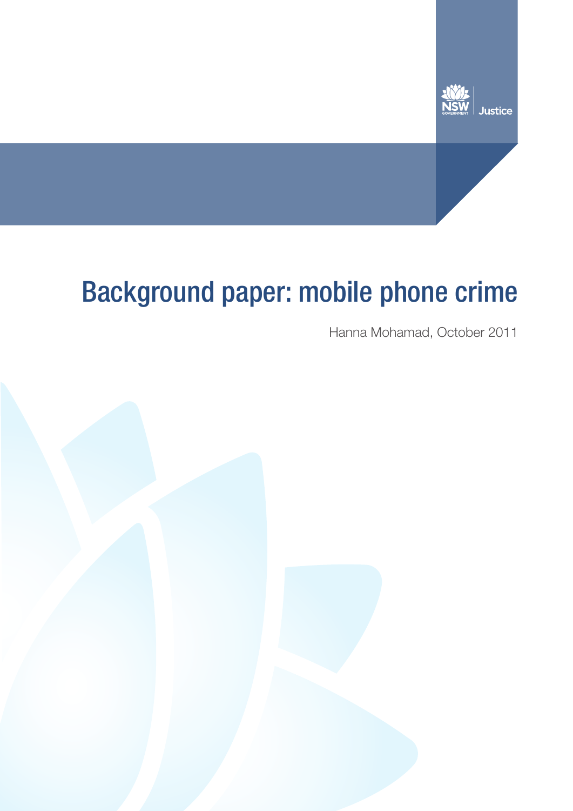

# Background paper: mobile phone crime

Hanna Mohamad, October 2011

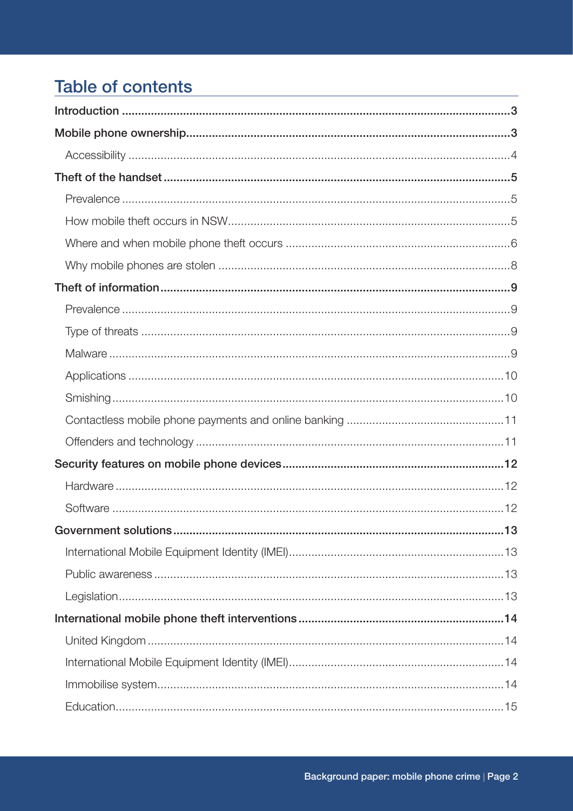# **Table of contents**

| 13 |  |
|----|--|
|    |  |
|    |  |
|    |  |
|    |  |
|    |  |
|    |  |
|    |  |
|    |  |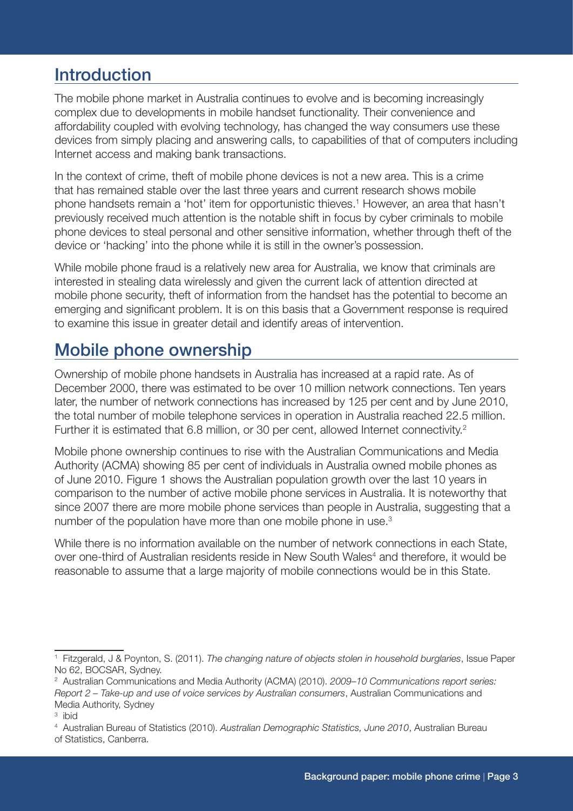# **Introduction**

The mobile phone market in Australia continues to evolve and is becoming increasingly complex due to developments in mobile handset functionality. Their convenience and affordability coupled with evolving technology, has changed the way consumers use these devices from simply placing and answering calls, to capabilities of that of computers including Internet access and making bank transactions.

In the context of crime, theft of mobile phone devices is not a new area. This is a crime that has remained stable over the last three years and current research shows mobile phone handsets remain a 'hot' item for opportunistic thieves.1 However, an area that hasn't previously received much attention is the notable shift in focus by cyber criminals to mobile phone devices to steal personal and other sensitive information, whether through theft of the device or 'hacking' into the phone while it is still in the owner's possession.

While mobile phone fraud is a relatively new area for Australia, we know that criminals are interested in stealing data wirelessly and given the current lack of attention directed at mobile phone security, theft of information from the handset has the potential to become an emerging and significant problem. It is on this basis that a Government response is required to examine this issue in greater detail and identify areas of intervention.

# Mobile phone ownership

Ownership of mobile phone handsets in Australia has increased at a rapid rate. As of December 2000, there was estimated to be over 10 million network connections. Ten years later, the number of network connections has increased by 125 per cent and by June 2010, the total number of mobile telephone services in operation in Australia reached 22.5 million. Further it is estimated that 6.8 million, or 30 per cent, allowed Internet connectivity.<sup>2</sup>

Mobile phone ownership continues to rise with the Australian Communications and Media Authority (ACMA) showing 85 per cent of individuals in Australia owned mobile phones as of June 2010. Figure 1 shows the Australian population growth over the last 10 years in comparison to the number of active mobile phone services in Australia. It is noteworthy that since 2007 there are more mobile phone services than people in Australia, suggesting that a number of the population have more than one mobile phone in use.3

While there is no information available on the number of network connections in each State, over one-third of Australian residents reside in New South Wales<sup>4</sup> and therefore, it would be reasonable to assume that a large majority of mobile connections would be in this State.

<sup>1</sup> Fitzgerald, J & Poynton, S. (2011). *The changing nature of objects stolen in household burglaries*, Issue Paper No 62, BOCSAR, Sydney.

<sup>2</sup> Australian Communications and Media Authority (ACMA) (2010). *2009–10 Communications report series: Report 2 – Take-up and use of voice services by Australian consumers*, Australian Communications and Media Authority, Sydney

<sup>3</sup> ibid

<sup>4</sup> Australian Bureau of Statistics (2010). *Australian Demographic Statistics, June 2010*, Australian Bureau of Statistics, Canberra.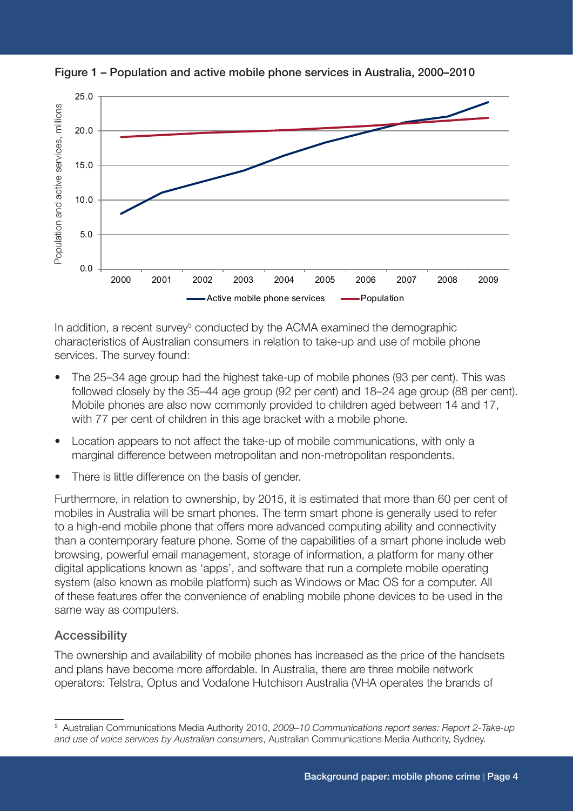

Figure 1 – Population and active mobile phone services in Australia, 2000–2010

In addition, a recent survey<sup>5</sup> conducted by the ACMA examined the demographic characteristics of Australian consumers in relation to take-up and use of mobile phone services. The survey found:

- The 25–34 age group had the highest take-up of mobile phones (93 per cent). This was followed closely by the 35–44 age group (92 per cent) and 18–24 age group (88 per cent). Mobile phones are also now commonly provided to children aged between 14 and 17, with 77 per cent of children in this age bracket with a mobile phone.
- Location appears to not affect the take-up of mobile communications, with only a marginal difference between metropolitan and non-metropolitan respondents.
- There is little difference on the basis of gender.

Furthermore, in relation to ownership, by 2015, it is estimated that more than 60 per cent of mobiles in Australia will be smart phones. The term smart phone is generally used to refer to a high-end mobile phone that offers more advanced computing ability and connectivity than a contemporary feature phone. Some of the capabilities of a smart phone include web browsing, powerful email management, storage of information, a platform for many other digital applications known as 'apps', and software that run a complete mobile operating system (also known as mobile platform) such as Windows or Mac OS for a computer. All of these features offer the convenience of enabling mobile phone devices to be used in the same way as computers.

#### **Accessibility**

The ownership and availability of mobile phones has increased as the price of the handsets and plans have become more affordable. In Australia, there are three mobile network operators: Telstra, Optus and Vodafone Hutchison Australia (VHA operates the brands of

<sup>5</sup> Australian Communications Media Authority 2010, *2009–10 Communications report series: Report 2-Take-up and use of voice services by Australian consumers*, Australian Communications Media Authority, Sydney.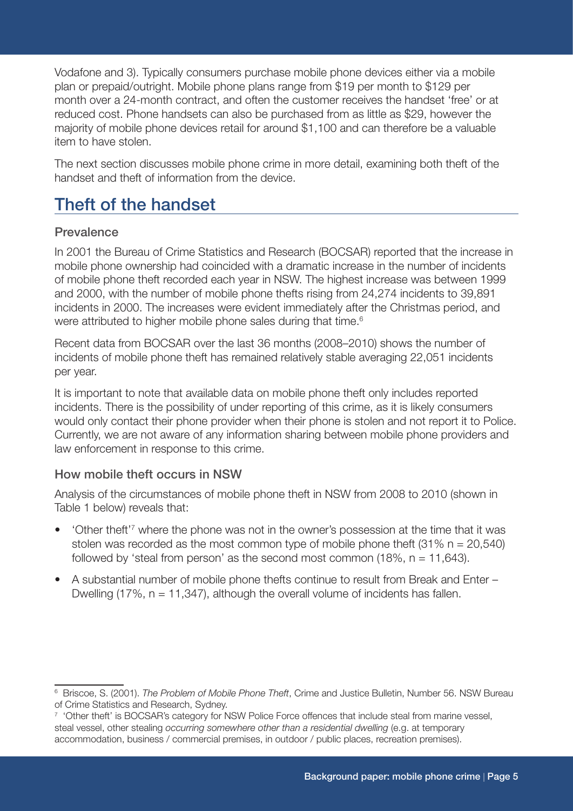Vodafone and 3). Typically consumers purchase mobile phone devices either via a mobile plan or prepaid/outright. Mobile phone plans range from \$19 per month to \$129 per month over a 24-month contract, and often the customer receives the handset 'free' or at reduced cost. Phone handsets can also be purchased from as little as \$29, however the majority of mobile phone devices retail for around \$1,100 and can therefore be a valuable item to have stolen.

The next section discusses mobile phone crime in more detail, examining both theft of the handset and theft of information from the device.

# Theft of the handset

#### Prevalence

In 2001 the Bureau of Crime Statistics and Research (BOCSAR) reported that the increase in mobile phone ownership had coincided with a dramatic increase in the number of incidents of mobile phone theft recorded each year in NSW. The highest increase was between 1999 and 2000, with the number of mobile phone thefts rising from 24,274 incidents to 39,891 incidents in 2000. The increases were evident immediately after the Christmas period, and were attributed to higher mobile phone sales during that time.<sup>6</sup>

Recent data from BOCSAR over the last 36 months (2008–2010) shows the number of incidents of mobile phone theft has remained relatively stable averaging 22,051 incidents per year.

It is important to note that available data on mobile phone theft only includes reported incidents. There is the possibility of under reporting of this crime, as it is likely consumers would only contact their phone provider when their phone is stolen and not report it to Police. Currently, we are not aware of any information sharing between mobile phone providers and law enforcement in response to this crime.

#### How mobile theft occurs in NSW

Analysis of the circumstances of mobile phone theft in NSW from 2008 to 2010 (shown in Table 1 below) reveals that:

- 'Other theft<sup>'7</sup> where the phone was not in the owner's possession at the time that it was stolen was recorded as the most common type of mobile phone theft  $(31\% n = 20,540)$ followed by 'steal from person' as the second most common (18%,  $n = 11,643$ ).
- A substantial number of mobile phone thefts continue to result from Break and Enter Dwelling (17%,  $n = 11,347$ ), although the overall volume of incidents has fallen.

<sup>6</sup> Briscoe, S. (2001). *The Problem of Mobile Phone Theft*, Crime and Justice Bulletin, Number 56. NSW Bureau of Crime Statistics and Research, Sydney.

<sup>&</sup>lt;sup>7</sup> 'Other theft' is BOCSAR's category for NSW Police Force offences that include steal from marine vessel, steal vessel, other stealing *occurring somewhere other than a residential dwelling* (e.g. at temporary accommodation, business / commercial premises, in outdoor / public places, recreation premises).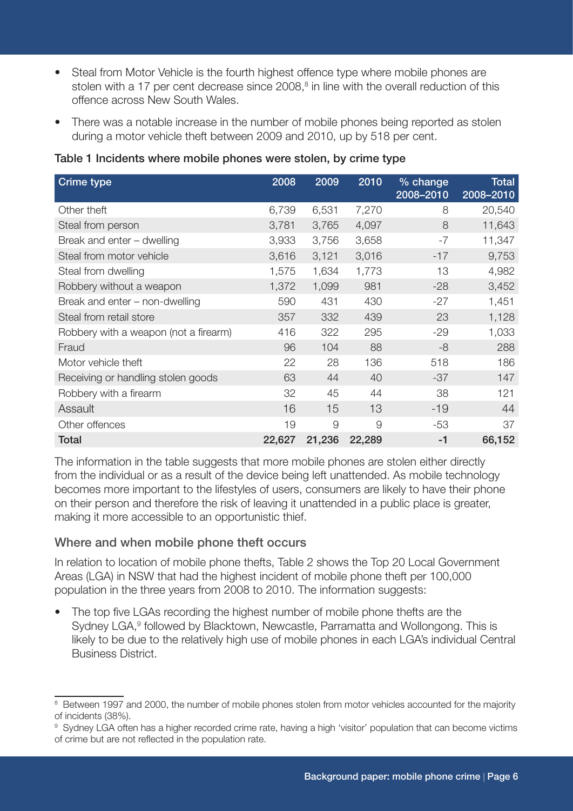- Steal from Motor Vehicle is the fourth highest offence type where mobile phones are stolen with a 17 per cent decrease since 2008, $8$  in line with the overall reduction of this offence across New South Wales.
- There was a notable increase in the number of mobile phones being reported as stolen during a motor vehicle theft between 2009 and 2010, up by 518 per cent.

| <b>Crime type</b>                     | 2008   | 2009   | 2010     | % change<br>2008-2010 | <b>Total</b><br>2008-2010 |
|---------------------------------------|--------|--------|----------|-----------------------|---------------------------|
| Other theft                           | 6,739  | 6,531  | 7,270    | 8                     | 20,540                    |
| Steal from person                     | 3,781  | 3,765  | 4,097    | 8                     | 11,643                    |
| Break and enter - dwelling            | 3,933  | 3,756  | 3,658    | $-7$                  | 11,347                    |
| Steal from motor vehicle              | 3,616  | 3,121  | 3,016    | $-17$                 | 9,753                     |
| Steal from dwelling                   | 1,575  | 1,634  | 1,773    | 13                    | 4,982                     |
| Robbery without a weapon              | 1,372  | 1,099  | 981      | $-28$                 | 3,452                     |
| Break and enter – non-dwelling        | 590    | 431    | 430      | $-27$                 | 1,451                     |
| Steal from retail store               | 357    | 332    | 439      | 23                    | 1,128                     |
| Robbery with a weapon (not a firearm) | 416    | 322    | 295      | $-29$                 | 1,033                     |
| Fraud                                 | 96     | 104    | 88       | $-8$                  | 288                       |
| Motor vehicle theft                   | 22     | 28     | 136      | 518                   | 186                       |
| Receiving or handling stolen goods    | 63     | 44     | 40       | $-37$                 | 147                       |
| Robbery with a firearm                | 32     | 45     | 44       | 38                    | 121                       |
| Assault                               | 16     | 15     | 13       | $-19$                 | 44                        |
| Other offences                        | 19     | 9      | $\Theta$ | $-53$                 | 37                        |
| <b>Total</b>                          | 22,627 | 21,236 | 22,289   | -1                    | 66,152                    |

#### Table 1 Incidents where mobile phones were stolen, by crime type

The information in the table suggests that more mobile phones are stolen either directly from the individual or as a result of the device being left unattended. As mobile technology becomes more important to the lifestyles of users, consumers are likely to have their phone on their person and therefore the risk of leaving it unattended in a public place is greater, making it more accessible to an opportunistic thief.

#### Where and when mobile phone theft occurs

In relation to location of mobile phone thefts, Table 2 shows the Top 20 Local Government Areas (LGA) in NSW that had the highest incident of mobile phone theft per 100,000 population in the three years from 2008 to 2010. The information suggests:

• The top five LGAs recording the highest number of mobile phone thefts are the Sydney LGA,<sup>9</sup> followed by Blacktown, Newcastle, Parramatta and Wollongong. This is likely to be due to the relatively high use of mobile phones in each LGA's individual Central Business District.

<sup>&</sup>lt;sup>8</sup> Between 1997 and 2000, the number of mobile phones stolen from motor vehicles accounted for the majority of incidents (38%).

<sup>9</sup> Sydney LGA often has a higher recorded crime rate, having a high 'visitor' population that can become victims of crime but are not reflected in the population rate.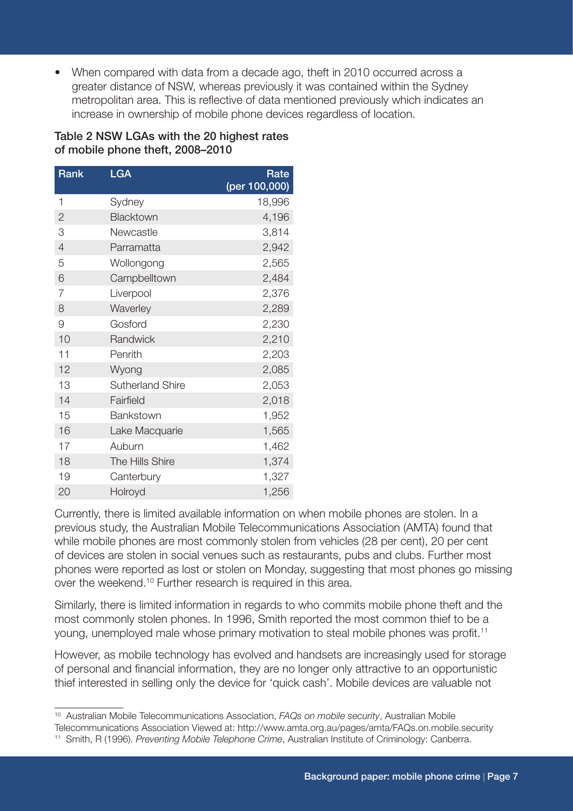• When compared with data from a decade ago, theft in 2010 occurred across a greater distance of NSW, whereas previously it was contained within the Sydney metropolitan area. This is reflective of data mentioned previously which indicates an increase in ownership of mobile phone devices regardless of location.

#### Table 2 NSW LGAs with the 20 highest rates of mobile phone theft, 2008–2010

| Rank           | <b>LGA</b>              | Rate<br>(per 100,000) |
|----------------|-------------------------|-----------------------|
| 1              | Sydney                  | 18,996                |
| $\mathbf{2}$   | Blacktown               | 4,196                 |
| 3              | Newcastle               | 3,814                 |
| $\overline{4}$ | Parramatta              | 2,942                 |
| 5              | Wollongong              | 2,565                 |
| 6              | Campbelltown            | 2,484                 |
| 7              | Liverpool               | 2,376                 |
| 8              | Waverley                | 2,289                 |
| 9              | Gosford                 | 2,230                 |
| 10             | Randwick                | 2,210                 |
| 11             | Penrith                 | 2,203                 |
| 12             | Wyong                   | 2,085                 |
| 13             | <b>Sutherland Shire</b> | 2,053                 |
| 14             | Fairfield               | 2,018                 |
| 15             | Bankstown               | 1,952                 |
| 16             | Lake Macquarie          | 1,565                 |
| 17             | Auburn                  | 1,462                 |
| 18             | The Hills Shire         | 1,374                 |
| 19             | Canterbury              | 1,327                 |
| 20             | Holroyd                 | 1,256                 |

Currently, there is limited available information on when mobile phones are stolen. In a previous study, the Australian Mobile Telecommunications Association (AMTA) found that while mobile phones are most commonly stolen from vehicles (28 per cent), 20 per cent of devices are stolen in social venues such as restaurants, pubs and clubs. Further most phones were reported as lost or stolen on Monday, suggesting that most phones go missing over the weekend.<sup>10</sup> Further research is required in this area.

Similarly, there is limited information in regards to who commits mobile phone theft and the most commonly stolen phones. In 1996, Smith reported the most common thief to be a young, unemployed male whose primary motivation to steal mobile phones was profit.11

However, as mobile technology has evolved and handsets are increasingly used for storage of personal and financial information, they are no longer only attractive to an opportunistic thief interested in selling only the device for 'quick cash'. Mobile devices are valuable not

<sup>10</sup> Australian Mobile Telecommunications Association, *FAQs on mobile security*, Australian Mobile

Telecommunications Association Viewed at: http://www.amta.org.au/pages/amta/FAQs.on.mobile.security 11 Smith, R (1996). *Preventing Mobile Telephone Crime*, Australian Institute of Criminology: Canberra.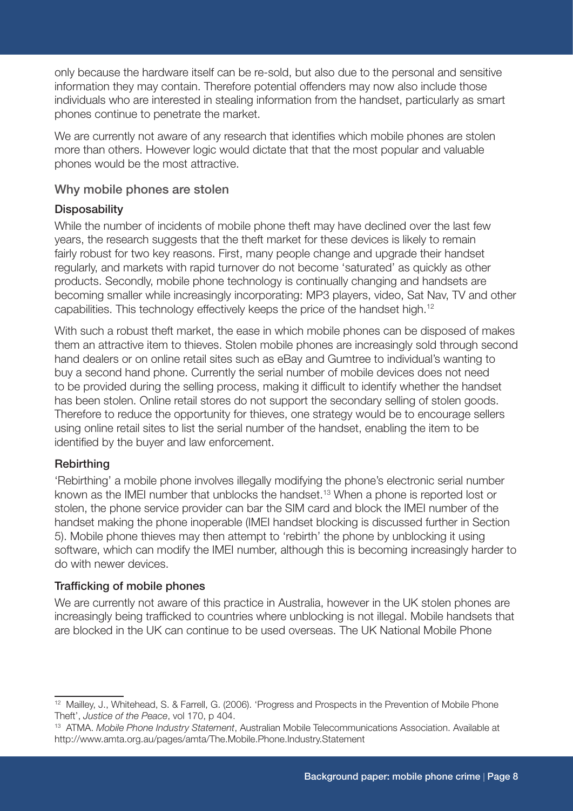only because the hardware itself can be re-sold, but also due to the personal and sensitive information they may contain. Therefore potential offenders may now also include those individuals who are interested in stealing information from the handset, particularly as smart phones continue to penetrate the market.

We are currently not aware of any research that identifies which mobile phones are stolen more than others. However logic would dictate that that the most popular and valuable phones would be the most attractive.

#### Why mobile phones are stolen

#### **Disposability**

While the number of incidents of mobile phone theft may have declined over the last few years, the research suggests that the theft market for these devices is likely to remain fairly robust for two key reasons. First, many people change and upgrade their handset regularly, and markets with rapid turnover do not become 'saturated' as quickly as other products. Secondly, mobile phone technology is continually changing and handsets are becoming smaller while increasingly incorporating: MP3 players, video, Sat Nav, TV and other capabilities. This technology effectively keeps the price of the handset high.12

With such a robust theft market, the ease in which mobile phones can be disposed of makes them an attractive item to thieves. Stolen mobile phones are increasingly sold through second hand dealers or on online retail sites such as eBay and Gumtree to individual's wanting to buy a second hand phone. Currently the serial number of mobile devices does not need to be provided during the selling process, making it difficult to identify whether the handset has been stolen. Online retail stores do not support the secondary selling of stolen goods. Therefore to reduce the opportunity for thieves, one strategy would be to encourage sellers using online retail sites to list the serial number of the handset, enabling the item to be identified by the buyer and law enforcement.

#### **Rebirthing**

'Rebirthing' a mobile phone involves illegally modifying the phone's electronic serial number known as the IMEI number that unblocks the handset.<sup>13</sup> When a phone is reported lost or stolen, the phone service provider can bar the SIM card and block the IMEI number of the handset making the phone inoperable (IMEI handset blocking is discussed further in Section 5). Mobile phone thieves may then attempt to 'rebirth' the phone by unblocking it using software, which can modify the IMEI number, although this is becoming increasingly harder to do with newer devices.

#### Trafficking of mobile phones

We are currently not aware of this practice in Australia, however in the UK stolen phones are increasingly being trafficked to countries where unblocking is not illegal. Mobile handsets that are blocked in the UK can continue to be used overseas. The UK National Mobile Phone

<sup>12</sup> Mailley, J., Whitehead, S. & Farrell, G. (2006). 'Progress and Prospects in the Prevention of Mobile Phone Theft', *Justice of the Peace*, vol 170, p 404.

<sup>13</sup> ATMA. *Mobile Phone Industry Statement*, Australian Mobile Telecommunications Association. Available at http://www.amta.org.au/pages/amta/The.Mobile.Phone.Industry.Statement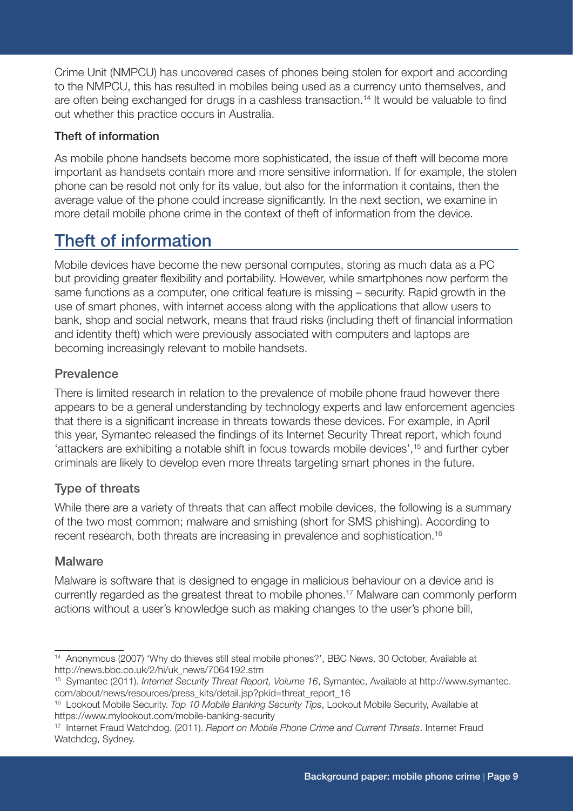Crime Unit (NMPCU) has uncovered cases of phones being stolen for export and according to the NMPCU, this has resulted in mobiles being used as a currency unto themselves, and are often being exchanged for drugs in a cashless transaction.<sup>14</sup> It would be valuable to find out whether this practice occurs in Australia.

#### Theft of information

As mobile phone handsets become more sophisticated, the issue of theft will become more important as handsets contain more and more sensitive information. If for example, the stolen phone can be resold not only for its value, but also for the information it contains, then the average value of the phone could increase significantly. In the next section, we examine in more detail mobile phone crime in the context of theft of information from the device.

# Theft of information

Mobile devices have become the new personal computes, storing as much data as a PC but providing greater flexibility and portability. However, while smartphones now perform the same functions as a computer, one critical feature is missing – security. Rapid growth in the use of smart phones, with internet access along with the applications that allow users to bank, shop and social network, means that fraud risks (including theft of financial information and identity theft) which were previously associated with computers and laptops are becoming increasingly relevant to mobile handsets.

#### Prevalence

There is limited research in relation to the prevalence of mobile phone fraud however there appears to be a general understanding by technology experts and law enforcement agencies that there is a significant increase in threats towards these devices. For example, in April this year, Symantec released the findings of its Internet Security Threat report, which found 'attackers are exhibiting a notable shift in focus towards mobile devices',15 and further cyber criminals are likely to develop even more threats targeting smart phones in the future.

#### Type of threats

While there are a variety of threats that can affect mobile devices, the following is a summary of the two most common; malware and smishing (short for SMS phishing). According to recent research, both threats are increasing in prevalence and sophistication.<sup>16</sup>

#### **Malware**

Malware is software that is designed to engage in malicious behaviour on a device and is currently regarded as the greatest threat to mobile phones.17 Malware can commonly perform actions without a user's knowledge such as making changes to the user's phone bill,

<sup>&</sup>lt;sup>14</sup> Anonymous (2007) 'Why do thieves still steal mobile phones?', BBC News, 30 October, Available at http://news.bbc.co.uk/2/hi/uk\_news/7064192.stm

<sup>15</sup> Symantec (2011). *Internet Security Threat Report, Volume 16*, Symantec, Available at http://www.symantec. com/about/news/resources/press\_kits/detail.jsp?pkid=threat\_report\_16

<sup>16</sup> Lookout Mobile Security. *Top 10 Mobile Banking Security Tips*, Lookout Mobile Security, Available at https://www.mylookout.com/mobile-banking-security

<sup>17</sup> Internet Fraud Watchdog. (2011). *Report on Mobile Phone Crime and Current Threats*. Internet Fraud Watchdog, Sydney.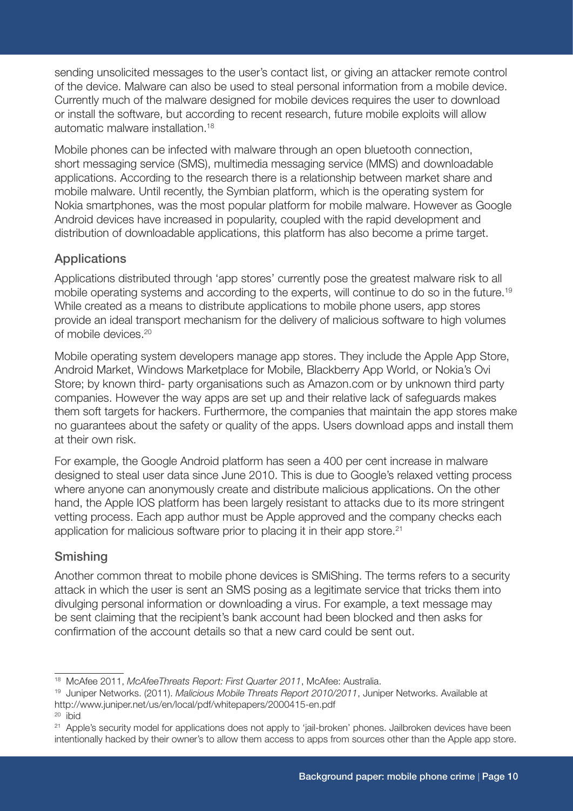sending unsolicited messages to the user's contact list, or giving an attacker remote control of the device. Malware can also be used to steal personal information from a mobile device. Currently much of the malware designed for mobile devices requires the user to download or install the software, but according to recent research, future mobile exploits will allow automatic malware installation.18

Mobile phones can be infected with malware through an open bluetooth connection, short messaging service (SMS), multimedia messaging service (MMS) and downloadable applications. According to the research there is a relationship between market share and mobile malware. Until recently, the Symbian platform, which is the operating system for Nokia smartphones, was the most popular platform for mobile malware. However as Google Android devices have increased in popularity, coupled with the rapid development and distribution of downloadable applications, this platform has also become a prime target.

#### Applications

Applications distributed through 'app stores' currently pose the greatest malware risk to all mobile operating systems and according to the experts, will continue to do so in the future.<sup>19</sup> While created as a means to distribute applications to mobile phone users, app stores provide an ideal transport mechanism for the delivery of malicious software to high volumes of mobile devices.20

Mobile operating system developers manage app stores. They include the Apple App Store, Android Market, Windows Marketplace for Mobile, Blackberry App World, or Nokia's Ovi Store; by known third- party organisations such as Amazon.com or by unknown third party companies. However the way apps are set up and their relative lack of safeguards makes them soft targets for hackers. Furthermore, the companies that maintain the app stores make no guarantees about the safety or quality of the apps. Users download apps and install them at their own risk.

For example, the Google Android platform has seen a 400 per cent increase in malware designed to steal user data since June 2010. This is due to Google's relaxed vetting process where anyone can anonymously create and distribute malicious applications. On the other hand, the Apple IOS platform has been largely resistant to attacks due to its more stringent vetting process. Each app author must be Apple approved and the company checks each application for malicious software prior to placing it in their app store.<sup>21</sup>

#### Smishing

Another common threat to mobile phone devices is SMiShing. The terms refers to a security attack in which the user is sent an SMS posing as a legitimate service that tricks them into divulging personal information or downloading a virus. For example, a text message may be sent claiming that the recipient's bank account had been blocked and then asks for confirmation of the account details so that a new card could be sent out.

<sup>18</sup> McAfee 2011, *McAfeeThreats Report: First Quarter 2011*, McAfee: Australia.

<sup>19</sup> Juniper Networks. (2011). *Malicious Mobile Threats Report 2010/2011*, Juniper Networks. Available at http://www.juniper.net/us/en/local/pdf/whitepapers/2000415-en.pdf

<sup>20</sup> ibid

<sup>&</sup>lt;sup>21</sup> Apple's security model for applications does not apply to 'iail-broken' phones. Jailbroken devices have been intentionally hacked by their owner's to allow them access to apps from sources other than the Apple app store.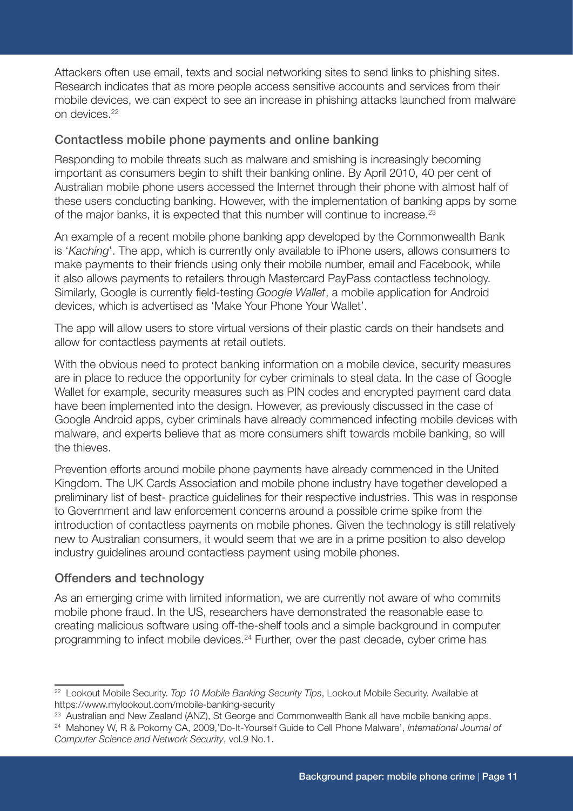Attackers often use email, texts and social networking sites to send links to phishing sites. Research indicates that as more people access sensitive accounts and services from their mobile devices, we can expect to see an increase in phishing attacks launched from malware on devices.22

#### Contactless mobile phone payments and online banking

Responding to mobile threats such as malware and smishing is increasingly becoming important as consumers begin to shift their banking online. By April 2010, 40 per cent of Australian mobile phone users accessed the Internet through their phone with almost half of these users conducting banking. However, with the implementation of banking apps by some of the major banks, it is expected that this number will continue to increase.23

An example of a recent mobile phone banking app developed by the Commonwealth Bank is '*Kaching*'. The app, which is currently only available to iPhone users, allows consumers to make payments to their friends using only their mobile number, email and Facebook, while it also allows payments to retailers through Mastercard PayPass contactless technology. Similarly, Google is currently field-testing *Google Wallet*, a mobile application for Android devices, which is advertised as 'Make Your Phone Your Wallet'.

The app will allow users to store virtual versions of their plastic cards on their handsets and allow for contactless payments at retail outlets.

With the obvious need to protect banking information on a mobile device, security measures are in place to reduce the opportunity for cyber criminals to steal data. In the case of Google Wallet for example, security measures such as PIN codes and encrypted payment card data have been implemented into the design. However, as previously discussed in the case of Google Android apps, cyber criminals have already commenced infecting mobile devices with malware, and experts believe that as more consumers shift towards mobile banking, so will the thieves.

Prevention efforts around mobile phone payments have already commenced in the United Kingdom. The UK Cards Association and mobile phone industry have together developed a preliminary list of best- practice guidelines for their respective industries. This was in response to Government and law enforcement concerns around a possible crime spike from the introduction of contactless payments on mobile phones. Given the technology is still relatively new to Australian consumers, it would seem that we are in a prime position to also develop industry guidelines around contactless payment using mobile phones.

#### Offenders and technology

As an emerging crime with limited information, we are currently not aware of who commits mobile phone fraud. In the US, researchers have demonstrated the reasonable ease to creating malicious software using off-the-shelf tools and a simple background in computer programming to infect mobile devices.24 Further, over the past decade, cyber crime has

<sup>22</sup> Lookout Mobile Security. *Top 10 Mobile Banking Security Tips*, Lookout Mobile Security. Available at https://www.mylookout.com/mobile-banking-security

<sup>&</sup>lt;sup>23</sup> Australian and New Zealand (ANZ), St George and Commonwealth Bank all have mobile banking apps.

<sup>24</sup> Mahoney W, R & Pokorny CA, 2009,'Do-It-Yourself Guide to Cell Phone Malware', *International Journal of Computer Science and Network Security*, vol.9 No.1.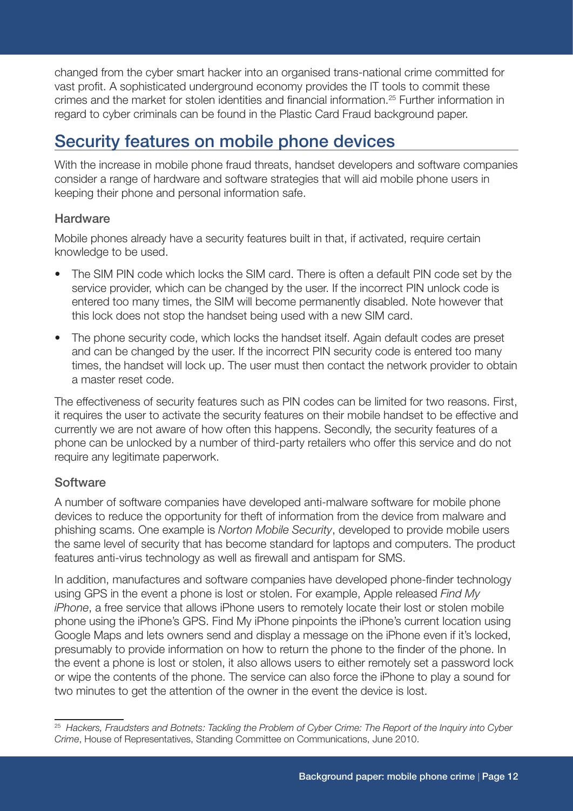changed from the cyber smart hacker into an organised trans-national crime committed for vast profit. A sophisticated underground economy provides the IT tools to commit these crimes and the market for stolen identities and financial information.<sup>25</sup> Further information in regard to cyber criminals can be found in the Plastic Card Fraud background paper.

# Security features on mobile phone devices

With the increase in mobile phone fraud threats, handset developers and software companies consider a range of hardware and software strategies that will aid mobile phone users in keeping their phone and personal information safe.

#### **Hardware**

Mobile phones already have a security features built in that, if activated, require certain knowledge to be used.

- The SIM PIN code which locks the SIM card. There is often a default PIN code set by the service provider, which can be changed by the user. If the incorrect PIN unlock code is entered too many times, the SIM will become permanently disabled. Note however that this lock does not stop the handset being used with a new SIM card.
- The phone security code, which locks the handset itself. Again default codes are preset and can be changed by the user. If the incorrect PIN security code is entered too many times, the handset will lock up. The user must then contact the network provider to obtain a master reset code.

The effectiveness of security features such as PIN codes can be limited for two reasons. First, it requires the user to activate the security features on their mobile handset to be effective and currently we are not aware of how often this happens. Secondly, the security features of a phone can be unlocked by a number of third-party retailers who offer this service and do not require any legitimate paperwork.

#### **Software**

A number of software companies have developed anti-malware software for mobile phone devices to reduce the opportunity for theft of information from the device from malware and phishing scams. One example is *Norton Mobile Security*, developed to provide mobile users the same level of security that has become standard for laptops and computers. The product features anti-virus technology as well as firewall and antispam for SMS.

In addition, manufactures and software companies have developed phone-finder technology using GPS in the event a phone is lost or stolen. For example, Apple released *Find My iPhone*, a free service that allows iPhone users to remotely locate their lost or stolen mobile phone using the iPhone's GPS. Find My iPhone pinpoints the iPhone's current location using Google Maps and lets owners send and display a message on the iPhone even if it's locked, presumably to provide information on how to return the phone to the finder of the phone. In the event a phone is lost or stolen, it also allows users to either remotely set a password lock or wipe the contents of the phone. The service can also force the iPhone to play a sound for two minutes to get the attention of the owner in the event the device is lost.

<sup>25</sup> *Hackers, Fraudsters and Botnets: Tackling the Problem of Cyber Crime: The Report of the Inquiry into Cyber Crime*, House of Representatives, Standing Committee on Communications, June 2010.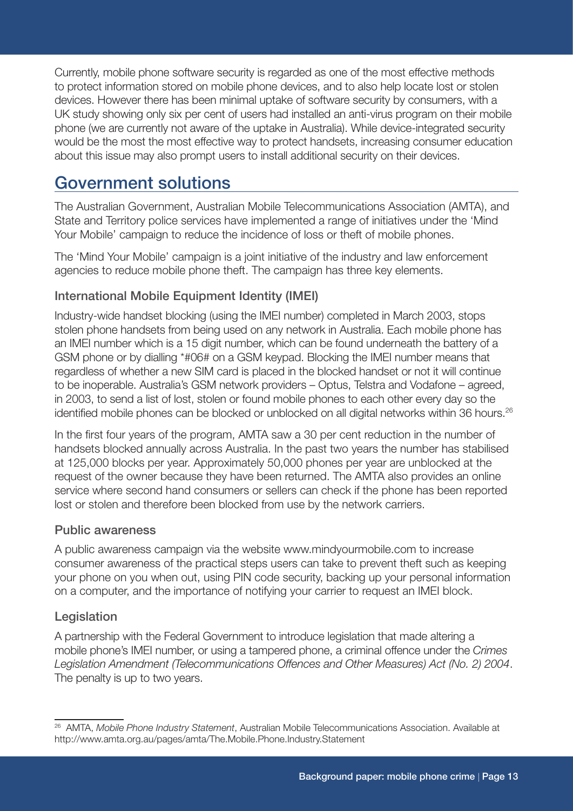Currently, mobile phone software security is regarded as one of the most effective methods to protect information stored on mobile phone devices, and to also help locate lost or stolen devices. However there has been minimal uptake of software security by consumers, with a UK study showing only six per cent of users had installed an anti-virus program on their mobile phone (we are currently not aware of the uptake in Australia). While device-integrated security would be the most the most effective way to protect handsets, increasing consumer education about this issue may also prompt users to install additional security on their devices.

# Government solutions

The Australian Government, Australian Mobile Telecommunications Association (AMTA), and State and Territory police services have implemented a range of initiatives under the 'Mind Your Mobile' campaign to reduce the incidence of loss or theft of mobile phones.

The 'Mind Your Mobile' campaign is a joint initiative of the industry and law enforcement agencies to reduce mobile phone theft. The campaign has three key elements.

#### International Mobile Equipment Identity (IMEI)

Industry-wide handset blocking (using the IMEI number) completed in March 2003, stops stolen phone handsets from being used on any network in Australia. Each mobile phone has an IMEI number which is a 15 digit number, which can be found underneath the battery of a GSM phone or by dialling \*#06# on a GSM keypad. Blocking the IMEI number means that regardless of whether a new SIM card is placed in the blocked handset or not it will continue to be inoperable. Australia's GSM network providers – Optus, Telstra and Vodafone – agreed, in 2003, to send a list of lost, stolen or found mobile phones to each other every day so the identified mobile phones can be blocked or unblocked on all digital networks within 36 hours.<sup>26</sup>

In the first four years of the program, AMTA saw a 30 per cent reduction in the number of handsets blocked annually across Australia. In the past two years the number has stabilised at 125,000 blocks per year. Approximately 50,000 phones per year are unblocked at the request of the owner because they have been returned. The AMTA also provides an online service where second hand consumers or sellers can check if the phone has been reported lost or stolen and therefore been blocked from use by the network carriers.

#### Public awareness

A public awareness campaign via the website www.mindyourmobile.com to increase consumer awareness of the practical steps users can take to prevent theft such as keeping your phone on you when out, using PIN code security, backing up your personal information on a computer, and the importance of notifying your carrier to request an IMEI block.

#### Legislation

A partnership with the Federal Government to introduce legislation that made altering a mobile phone's IMEI number, or using a tampered phone, a criminal offence under the *Crimes Legislation Amendment (Telecommunications Offences and Other Measures) Act (No. 2) 2004*. The penalty is up to two years.

<sup>26</sup> AMTA, *Mobile Phone Industry Statement*, Australian Mobile Telecommunications Association. Available at http://www.amta.org.au/pages/amta/The.Mobile.Phone.Industry.Statement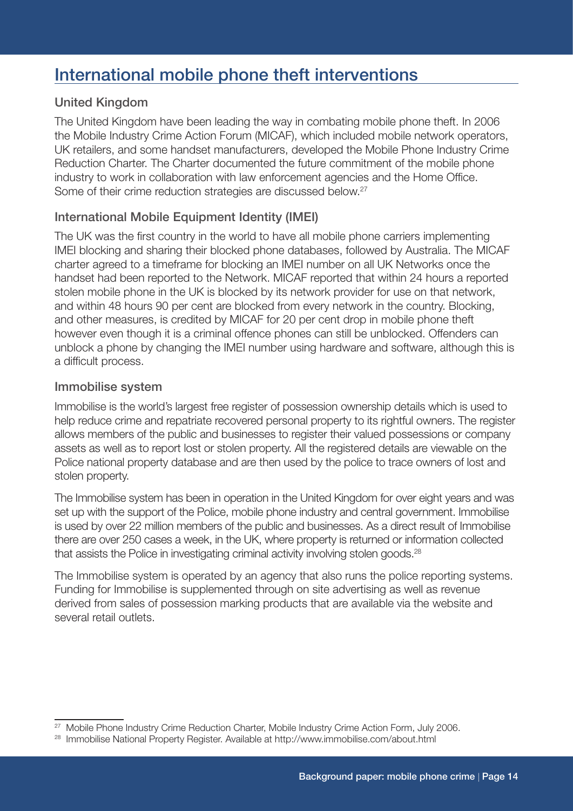# International mobile phone theft interventions

#### United Kingdom

The United Kingdom have been leading the way in combating mobile phone theft. In 2006 the Mobile Industry Crime Action Forum (MICAF), which included mobile network operators, UK retailers, and some handset manufacturers, developed the Mobile Phone Industry Crime Reduction Charter. The Charter documented the future commitment of the mobile phone industry to work in collaboration with law enforcement agencies and the Home Office. Some of their crime reduction strategies are discussed below.<sup>27</sup>

#### International Mobile Equipment Identity (IMEI)

The UK was the first country in the world to have all mobile phone carriers implementing IMEI blocking and sharing their blocked phone databases, followed by Australia. The MICAF charter agreed to a timeframe for blocking an IMEI number on all UK Networks once the handset had been reported to the Network. MICAF reported that within 24 hours a reported stolen mobile phone in the UK is blocked by its network provider for use on that network, and within 48 hours 90 per cent are blocked from every network in the country. Blocking, and other measures, is credited by MICAF for 20 per cent drop in mobile phone theft however even though it is a criminal offence phones can still be unblocked. Offenders can unblock a phone by changing the IMEI number using hardware and software, although this is a difficult process.

#### Immobilise system

Immobilise is the world's largest free register of possession ownership details which is used to help reduce crime and repatriate recovered personal property to its rightful owners. The register allows members of the public and businesses to register their valued possessions or company assets as well as to report lost or stolen property. All the registered details are viewable on the Police national property database and are then used by the police to trace owners of lost and stolen property.

The Immobilise system has been in operation in the United Kingdom for over eight years and was set up with the support of the Police, mobile phone industry and central government. Immobilise is used by over 22 million members of the public and businesses. As a direct result of Immobilise there are over 250 cases a week, in the UK, where property is returned or information collected that assists the Police in investigating criminal activity involving stolen goods.<sup>28</sup>

The Immobilise system is operated by an agency that also runs the police reporting systems. Funding for Immobilise is supplemented through on site advertising as well as revenue derived from sales of possession marking products that are available via the website and several retail outlets.

<sup>&</sup>lt;sup>27</sup> Mobile Phone Industry Crime Reduction Charter, Mobile Industry Crime Action Form, July 2006.

<sup>28</sup> Immobilise National Property Register. Available at http://www.immobilise.com/about.html